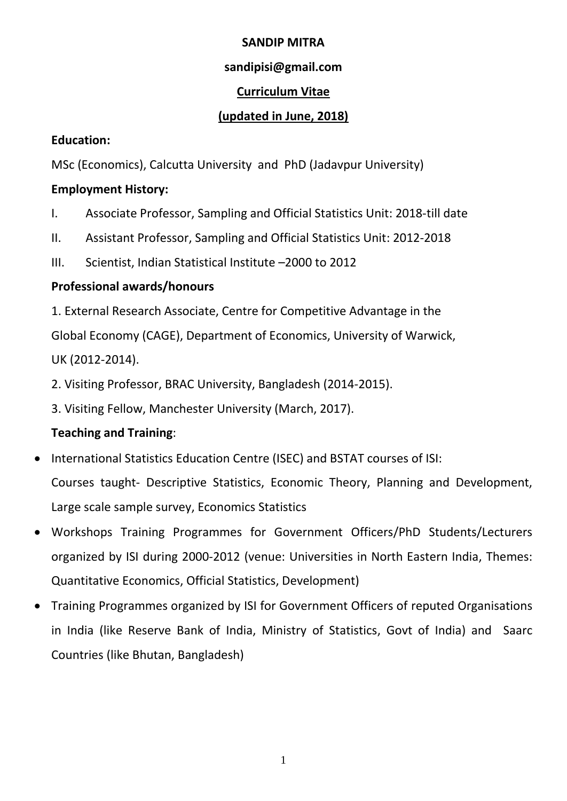## **SANDIP MITRA**

# **sandipisi@gmail.com**

# **Curriculum Vitae**

# **(updated in June, 2018)**

## **Education:**

MSc (Economics), Calcutta University and PhD (Jadavpur University)

# **Employment History:**

- I. Associate Professor, Sampling and Official Statistics Unit: 2018-till date
- II. Assistant Professor, Sampling and Official Statistics Unit: 2012-2018
- III. Scientist, Indian Statistical Institute –2000 to 2012

# **Professional awards/honours**

1. External Research Associate, Centre for Competitive Advantage in the Global Economy (CAGE), Department of Economics, University of Warwick, UK (2012-2014).

2. Visiting Professor, BRAC University, Bangladesh (2014-2015).

3. Visiting Fellow, Manchester University (March, 2017).

# **Teaching and Training**:

- International Statistics Education Centre (ISEC) and BSTAT courses of ISI: Courses taught- Descriptive Statistics, Economic Theory, Planning and Development, Large scale sample survey, Economics Statistics
- Workshops Training Programmes for Government Officers/PhD Students/Lecturers organized by ISI during 2000-2012 (venue: Universities in North Eastern India, Themes: Quantitative Economics, Official Statistics, Development)
- Training Programmes organized by ISI for Government Officers of reputed Organisations in India (like Reserve Bank of India, Ministry of Statistics, Govt of India) and Saarc Countries (like Bhutan, Bangladesh)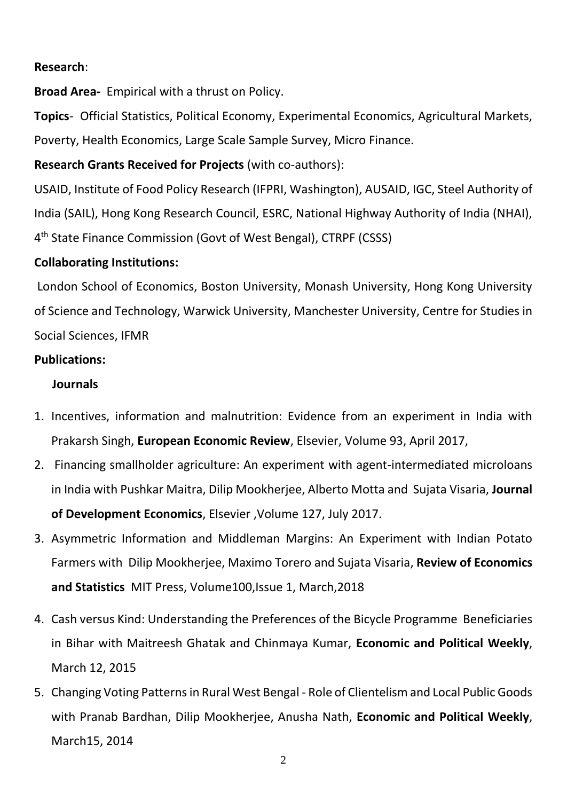## **Research**:

**Broad Area-** Empirical with a thrust on Policy.

**Topics**- Official Statistics, Political Economy, Experimental Economics, Agricultural Markets, Poverty, Health Economics, Large Scale Sample Survey, Micro Finance.

**Research Grants Received for Projects** (with co-authors):

USAID, Institute of Food Policy Research (IFPRI, Washington), AUSAID, IGC, Steel Authority of India (SAIL), Hong Kong Research Council, ESRC, National Highway Authority of India (NHAI), 4<sup>th</sup> State Finance Commission (Govt of West Bengal), CTRPF (CSSS)

### **Collaborating Institutions:**

London School of Economics, Boston University, Monash University, Hong Kong University of Science and Technology, Warwick University, Manchester University, Centre for Studies in Social Sciences, IFMR

#### **Publications:**

### **Journals**

- 1. Incentives, information and malnutrition: Evidence from an experiment in India with Prakarsh Singh, **European Economic Review**, Elsevier, Volume 93, April 2017,
- 2. Financing smallholder agriculture: An experiment with agent-intermediated microloans in India with Pushkar Maitra, Dilip Mookherjee, Alberto Motta and Sujata Visaria, **Journal of Development Economics**, Elsevier ,Volume 127, July 2017.
- 3. Asymmetric Information and Middleman Margins: An Experiment with Indian Potato Farmers with Dilip Mookherjee, Maximo Torero and Sujata Visaria, **Review of Economics and Statistics** MIT Press, Volume100,Issue 1, March,2018
- 4. Cash versus Kind: Understanding the Preferences of the Bicycle Programme Beneficiaries in Bihar with Maitreesh Ghatak and Chinmaya Kumar, **Economic and Political Weekly**, March 12, 2015
- 5. Changing Voting Patterns in Rural West Bengal Role of Clientelism and Local Public Goods with Pranab Bardhan, Dilip Mookherjee, Anusha Nath, **Economic and Political Weekly**, March15, 2014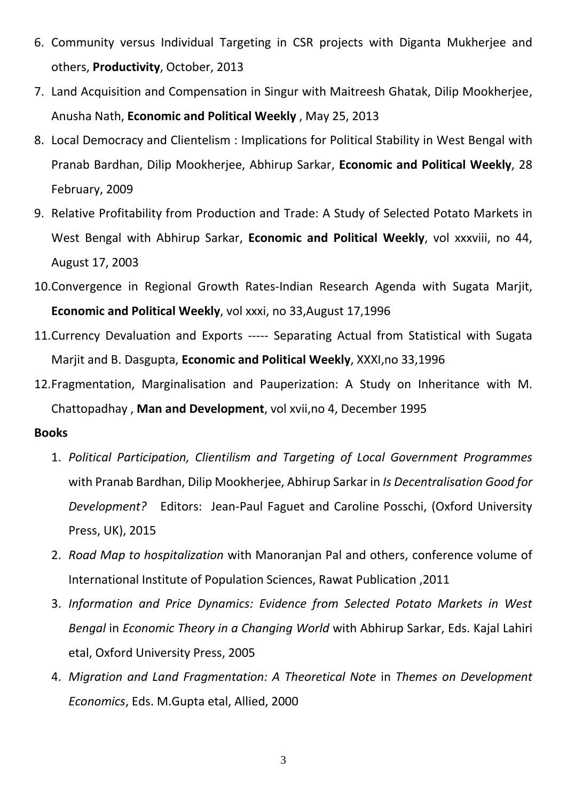- 6. Community versus Individual Targeting in CSR projects with Diganta Mukherjee and others, **Productivity**, October, 2013
- 7. Land Acquisition and Compensation in Singur with Maitreesh Ghatak, Dilip Mookherjee, Anusha Nath, **Economic and Political Weekly** , May 25, 2013
- 8. Local Democracy and Clientelism : Implications for Political Stability in West Bengal with Pranab Bardhan, Dilip Mookherjee, Abhirup Sarkar, **Economic and Political Weekly**, 28 February, 2009
- 9. Relative Profitability from Production and Trade: A Study of Selected Potato Markets in West Bengal with Abhirup Sarkar, **Economic and Political Weekly**, vol xxxviii, no 44, August 17, 2003
- 10.Convergence in Regional Growth Rates-Indian Research Agenda with Sugata Marjit, **Economic and Political Weekly**, vol xxxi, no 33,August 17,1996
- 11.Currency Devaluation and Exports ----- Separating Actual from Statistical with Sugata Marjit and B. Dasgupta, **Economic and Political Weekly**, XXXI,no 33,1996
- 12.Fragmentation, Marginalisation and Pauperization: A Study on Inheritance with M. Chattopadhay , **Man and Development**, vol xvii,no 4, December 1995

#### **Books**

- 1. *Political Participation, Clientilism and Targeting of Local Government Programmes* with Pranab Bardhan, Dilip Mookherjee, Abhirup Sarkar in *Is Decentralisation Good for Development?* Editors: Jean-Paul Faguet and Caroline Posschi, (Oxford University Press, UK), 2015
- 2. *Road Map to hospitalization* with Manoranjan Pal and others, conference volume of International Institute of Population Sciences, Rawat Publication ,2011
- 3. *Information and Price Dynamics: Evidence from Selected Potato Markets in West Bengal* in *Economic Theory in a Changing World* with Abhirup Sarkar, Eds. Kajal Lahiri etal, Oxford University Press, 2005
- 4. *Migration and Land Fragmentation: A Theoretical Note* in *Themes on Development Economics*, Eds. M.Gupta etal, Allied, 2000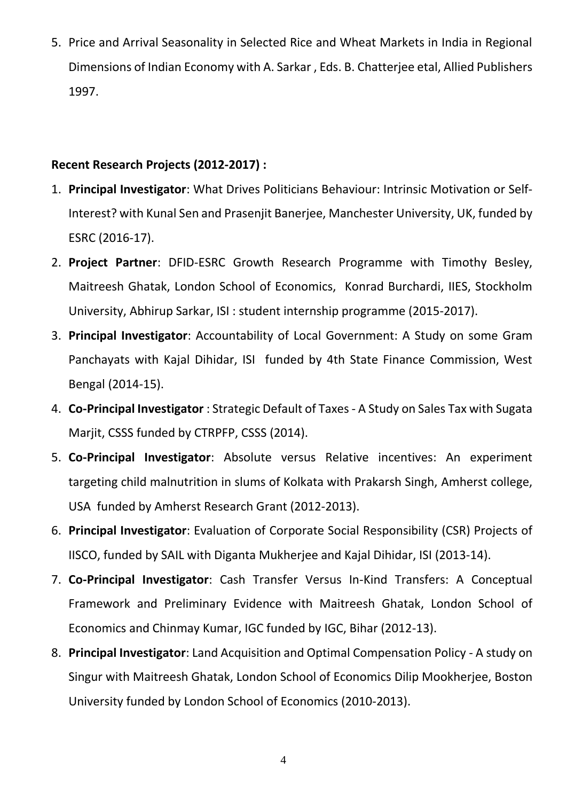5. Price and Arrival Seasonality in Selected Rice and Wheat Markets in India in Regional Dimensions of Indian Economy with A. Sarkar , Eds. B. Chatterjee etal, Allied Publishers 1997.

# **Recent Research Projects (2012-2017) :**

- 1. **Principal Investigator**: What Drives Politicians Behaviour: Intrinsic Motivation or Self-Interest? with Kunal Sen and Prasenjit Banerjee, Manchester University, UK, funded by ESRC (2016-17).
- 2. **Project Partner**: DFID-ESRC Growth Research Programme with Timothy Besley, Maitreesh Ghatak, London School of Economics, Konrad Burchardi, IIES, Stockholm University, Abhirup Sarkar, ISI : student internship programme (2015-2017).
- 3. **Principal Investigator**: Accountability of Local Government: A Study on some Gram Panchayats with Kajal Dihidar, ISI funded by 4th State Finance Commission, West Bengal (2014-15).
- 4. **Co-Principal Investigator** : Strategic Default of Taxes A Study on Sales Tax with Sugata Marjit, CSSS funded by CTRPFP, CSSS (2014).
- 5. **Co-Principal Investigator**: Absolute versus Relative incentives: An experiment targeting child malnutrition in slums of Kolkata with Prakarsh Singh, Amherst college, USA funded by Amherst Research Grant (2012-2013).
- 6. **Principal Investigator**: Evaluation of Corporate Social Responsibility (CSR) Projects of IISCO, funded by SAIL with Diganta Mukherjee and Kajal Dihidar, ISI (2013-14).
- 7. **Co-Principal Investigator**: Cash Transfer Versus In-Kind Transfers: A Conceptual Framework and Preliminary Evidence with Maitreesh Ghatak, London School of Economics and Chinmay Kumar, IGC funded by IGC, Bihar (2012-13).
- 8. **Principal Investigator**: Land Acquisition and Optimal Compensation Policy A study on Singur with Maitreesh Ghatak, London School of Economics Dilip Mookherjee, Boston University funded by London School of Economics (2010-2013).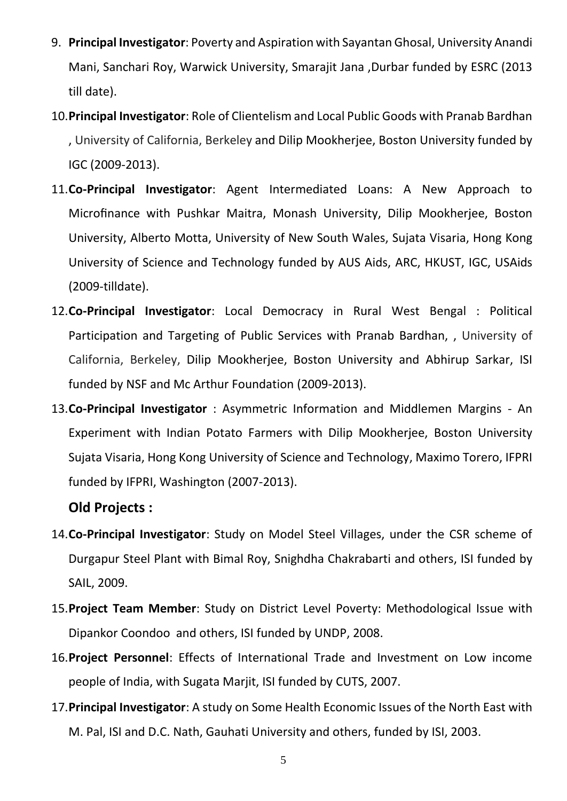- 9. **Principal Investigator**: Poverty and Aspiration with Sayantan Ghosal, University Anandi Mani, Sanchari Roy, Warwick University, Smarajit Jana ,Durbar funded by ESRC (2013 till date).
- 10.**Principal Investigator**: Role of Clientelism and Local Public Goods with Pranab Bardhan , University of California, Berkeley and Dilip Mookherjee, Boston University funded by IGC (2009-2013).
- 11.**Co-Principal Investigator**: Agent Intermediated Loans: A New Approach to Microfinance with Pushkar Maitra, Monash University, Dilip Mookherjee, Boston University, Alberto Motta, University of New South Wales, Sujata Visaria, Hong Kong University of Science and Technology funded by AUS Aids, ARC, HKUST, IGC, USAids (2009-tilldate).
- 12.**Co-Principal Investigator**: Local Democracy in Rural West Bengal : Political Participation and Targeting of Public Services with Pranab Bardhan, , University of California, Berkeley, Dilip Mookherjee, Boston University and Abhirup Sarkar, ISI funded by NSF and Mc Arthur Foundation (2009-2013).
- 13.**Co-Principal Investigator** : Asymmetric Information and Middlemen Margins An Experiment with Indian Potato Farmers with Dilip Mookherjee, Boston University Sujata Visaria, Hong Kong University of Science and Technology, Maximo Torero, IFPRI funded by IFPRI, Washington (2007-2013).

# **Old Projects :**

- 14.**Co-Principal Investigator**: Study on Model Steel Villages, under the CSR scheme of Durgapur Steel Plant with Bimal Roy, Snighdha Chakrabarti and others, ISI funded by SAIL, 2009.
- 15.**Project Team Member**: Study on District Level Poverty: Methodological Issue with Dipankor Coondoo and others, ISI funded by UNDP, 2008.
- 16.**Project Personnel**: Effects of International Trade and Investment on Low income people of India, with Sugata Marjit, ISI funded by CUTS, 2007.
- 17.**Principal Investigator**: A study on Some Health Economic Issues of the North East with M. Pal, ISI and D.C. Nath, Gauhati University and others, funded by ISI, 2003.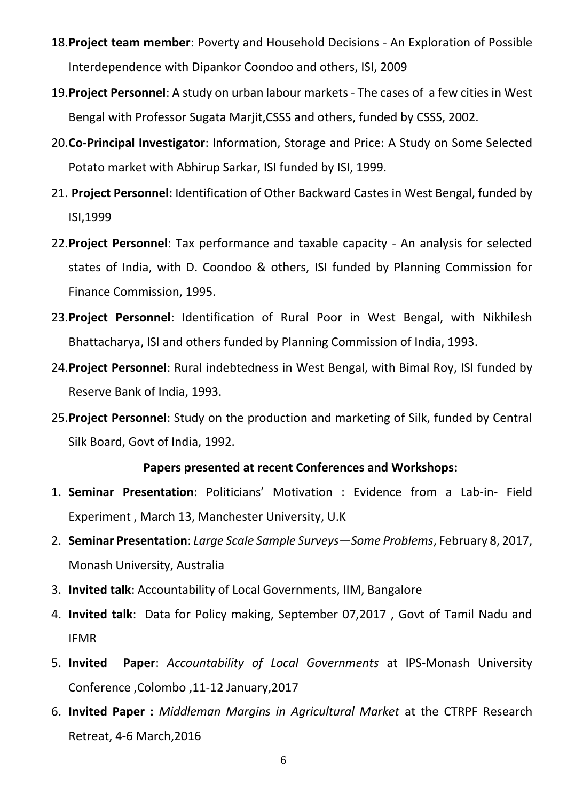- 18.**Project team member**: Poverty and Household Decisions An Exploration of Possible Interdependence with Dipankor Coondoo and others, ISI, 2009
- 19.**Project Personnel**: A study on urban labour markets The cases of a few cities in West Bengal with Professor Sugata Marjit,CSSS and others, funded by CSSS, 2002.
- 20.**Co-Principal Investigator**: Information, Storage and Price: A Study on Some Selected Potato market with Abhirup Sarkar, ISI funded by ISI, 1999.
- 21. **Project Personnel**: Identification of Other Backward Castes in West Bengal, funded by ISI,1999
- 22.**Project Personnel**: Tax performance and taxable capacity An analysis for selected states of India, with D. Coondoo & others, ISI funded by Planning Commission for Finance Commission, 1995.
- 23.**Project Personnel**: Identification of Rural Poor in West Bengal, with Nikhilesh Bhattacharya, ISI and others funded by Planning Commission of India, 1993.
- 24.**Project Personnel**: Rural indebtedness in West Bengal, with Bimal Roy, ISI funded by Reserve Bank of India, 1993.
- 25.**Project Personnel**: Study on the production and marketing of Silk, funded by Central Silk Board, Govt of India, 1992.

#### **Papers presented at recent Conferences and Workshops:**

- 1. **Seminar Presentation**: Politicians' Motivation : Evidence from a Lab-in- Field Experiment , March 13, Manchester University, U.K
- 2. **Seminar Presentation**: *Large Scale Sample Surveys—Some Problems*, February 8, 2017, Monash University, Australia
- 3. **Invited talk**: Accountability of Local Governments, IIM, Bangalore
- 4. **Invited talk**: Data for Policy making, September 07,2017 , Govt of Tamil Nadu and IFMR
- 5. **Invited Paper**: *Accountability of Local Governments* at IPS-Monash University Conference ,Colombo ,11-12 January,2017
- 6. **Invited Paper :** *Middleman Margins in Agricultural Market* at the CTRPF Research Retreat, 4-6 March,2016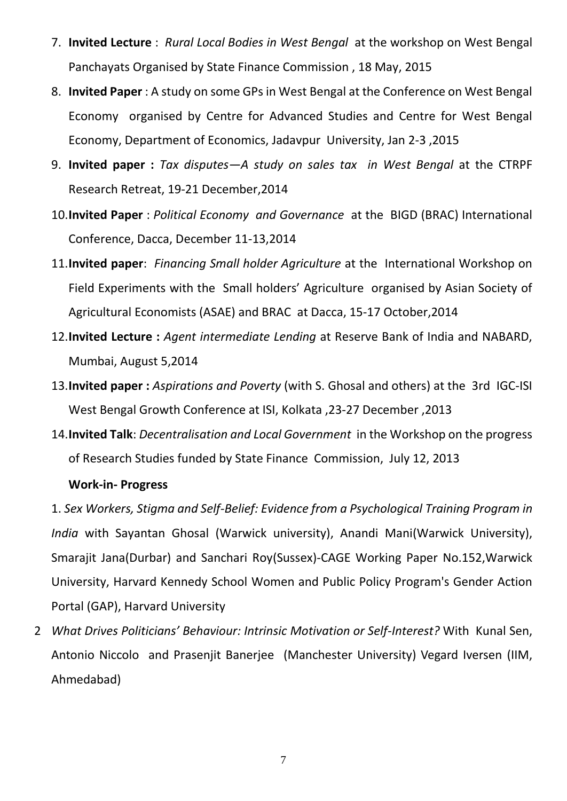- 7. **Invited Lecture** : *Rural Local Bodies in West Bengal* at the workshop on West Bengal Panchayats Organised by State Finance Commission , 18 May, 2015
- 8. **Invited Paper** : A study on some GPs in West Bengal at the Conference on West Bengal Economy organised by Centre for Advanced Studies and Centre for West Bengal Economy, Department of Economics, Jadavpur University, Jan 2-3 ,2015
- 9. **Invited paper :** *Tax disputes—A study on sales tax in West Bengal* at the CTRPF Research Retreat, 19-21 December,2014
- 10.**Invited Paper** : *Political Economy and Governance* at the BIGD (BRAC) International Conference, Dacca, December 11-13,2014
- 11.**Invited paper**: *Financing Small holder Agriculture* at the International Workshop on Field Experiments with the Small holders' Agriculture organised by Asian Society of Agricultural Economists (ASAE) and BRAC at Dacca, 15-17 October,2014
- 12.**Invited Lecture :** *Agent intermediate Lending* at Reserve Bank of India and NABARD, Mumbai, August 5,2014
- 13.**Invited paper :** *Aspirations and Poverty* (with S. Ghosal and others) at the 3rd IGC-ISI West Bengal Growth Conference at ISI, Kolkata ,23-27 December ,2013
- 14.**Invited Talk**: *Decentralisation and Local Government* in the Workshop on the progress of Research Studies funded by State Finance Commission, July 12, 2013

### **Work-in- Progress**

1. *Sex Workers, Stigma and Self-Belief: Evidence from a Psychological Training Program in India* with Sayantan Ghosal (Warwick university), Anandi Mani(Warwick University), Smarajit Jana(Durbar) and Sanchari Roy(Sussex)-CAGE Working Paper No.152,Warwick University, Harvard Kennedy School Women and Public Policy Program's Gender Action Portal (GAP), Harvard University

2 *What Drives Politicians' Behaviour: Intrinsic Motivation or Self-Interest?* With Kunal Sen, Antonio Niccolo and Prasenjit Banerjee (Manchester University) Vegard Iversen (IIM, Ahmedabad)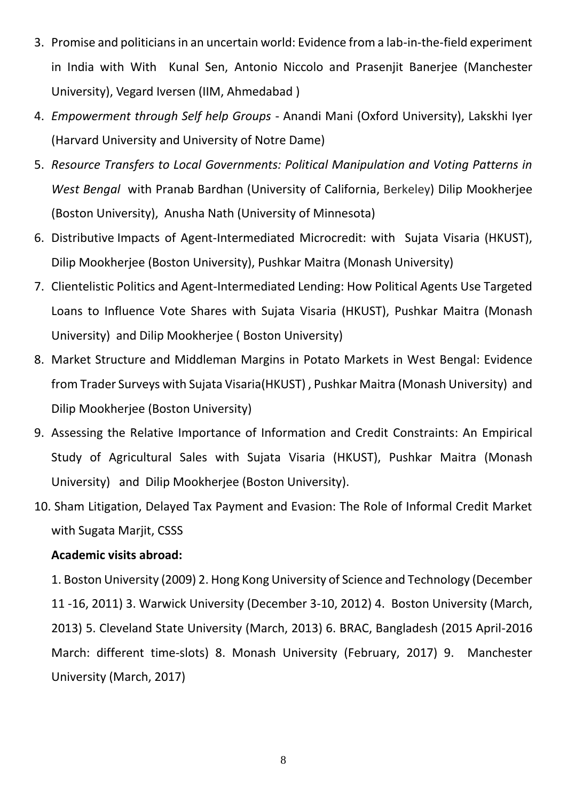- 3. Promise and politicians in an uncertain world: Evidence from a lab-in-the-field experiment in India with With Kunal Sen, Antonio Niccolo and Prasenjit Banerjee (Manchester University), Vegard Iversen (IIM, Ahmedabad )
- 4. *Empowerment through Self help Groups* Anandi Mani (Oxford University), Lakskhi Iyer (Harvard University and University of Notre Dame)
- 5. *Resource Transfers to Local Governments: Political Manipulation and Voting Patterns in West Bengal* with Pranab Bardhan (University of California, Berkeley) Dilip Mookherjee (Boston University), Anusha Nath (University of Minnesota)
- 6. Distributive Impacts of Agent-Intermediated Microcredit: with Sujata Visaria (HKUST), Dilip Mookherjee (Boston University), Pushkar Maitra (Monash University)
- 7. Clientelistic Politics and Agent-Intermediated Lending: How Political Agents Use Targeted Loans to Influence Vote Shares with Sujata Visaria (HKUST), Pushkar Maitra (Monash University) and Dilip Mookherjee ( Boston University)
- 8. Market Structure and Middleman Margins in Potato Markets in West Bengal: Evidence from Trader Surveys with Sujata Visaria(HKUST) , Pushkar Maitra (Monash University) and Dilip Mookherjee (Boston University)
- 9. Assessing the Relative Importance of Information and Credit Constraints: An Empirical Study of Agricultural Sales with Sujata Visaria (HKUST), Pushkar Maitra (Monash University) and Dilip Mookherjee (Boston University).
- 10. Sham Litigation, Delayed Tax Payment and Evasion: The Role of Informal Credit Market with Sugata Marjit, CSSS

#### **Academic visits abroad:**

1. Boston University (2009) 2. Hong Kong University of Science and Technology (December 11 -16, 2011) 3. Warwick University (December 3-10, 2012) 4. Boston University (March, 2013) 5. Cleveland State University (March, 2013) 6. BRAC, Bangladesh (2015 April-2016 March: different time-slots) 8. Monash University (February, 2017) 9. Manchester University (March, 2017)

8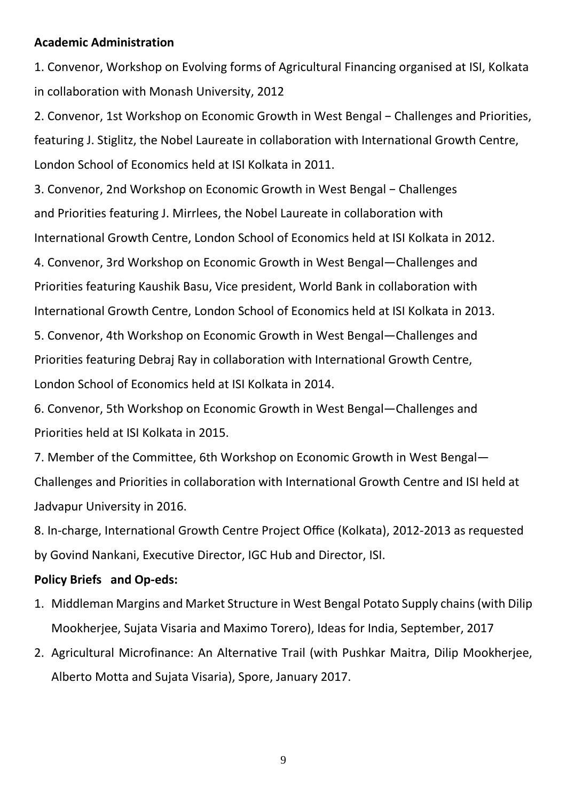#### **Academic Administration**

1. Convenor, Workshop on Evolving forms of Agricultural Financing organised at ISI, Kolkata in collaboration with Monash University, 2012

2. Convenor, 1st Workshop on Economic Growth in West Bengal − Challenges and Priorities, featuring J. Stiglitz, the Nobel Laureate in collaboration with International Growth Centre, London School of Economics held at ISI Kolkata in 2011.

3. Convenor, 2nd Workshop on Economic Growth in West Bengal − Challenges and Priorities featuring J. Mirrlees, the Nobel Laureate in collaboration with International Growth Centre, London School of Economics held at ISI Kolkata in 2012.

4. Convenor, 3rd Workshop on Economic Growth in West Bengal—Challenges and Priorities featuring Kaushik Basu, Vice president, World Bank in collaboration with International Growth Centre, London School of Economics held at ISI Kolkata in 2013. 5. Convenor, 4th Workshop on Economic Growth in West Bengal—Challenges and Priorities featuring Debraj Ray in collaboration with International Growth Centre, London School of Economics held at ISI Kolkata in 2014.

6. Convenor, 5th Workshop on Economic Growth in West Bengal—Challenges and Priorities held at ISI Kolkata in 2015.

7. Member of the Committee, 6th Workshop on Economic Growth in West Bengal— Challenges and Priorities in collaboration with International Growth Centre and ISI held at Jadvapur University in 2016.

8. In-charge, International Growth Centre Project Office (Kolkata), 2012-2013 as requested by Govind Nankani, Executive Director, IGC Hub and Director, ISI.

## **Policy Briefs and Op-eds:**

- 1. Middleman Margins and Market Structure in West Bengal Potato Supply chains (with Dilip Mookherjee, Sujata Visaria and Maximo Torero), Ideas for India, September, 2017
- 2. Agricultural Microfinance: An Alternative Trail (with Pushkar Maitra, Dilip Mookherjee, Alberto Motta and Sujata Visaria), Spore, January 2017.

9